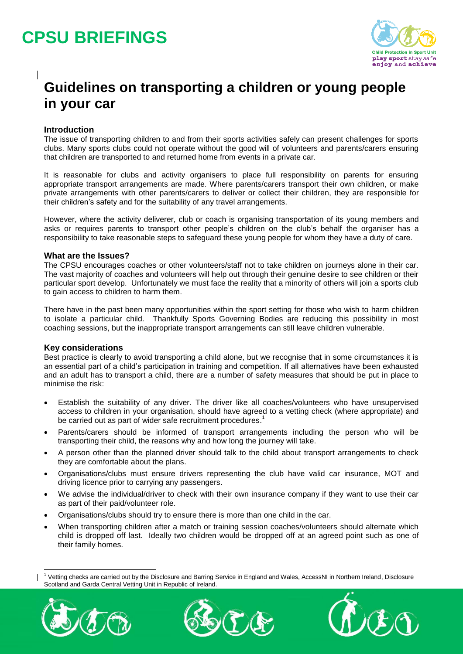## **CPSU BRIEFINGS**



### **Guidelines on transporting a children or young people in your car**

### **Introduction**

The issue of transporting children to and from their sports activities safely can present challenges for sports clubs. Many sports clubs could not operate without the good will of volunteers and parents/carers ensuring that children are transported to and returned home from events in a private car.

It is reasonable for clubs and activity organisers to place full responsibility on parents for ensuring appropriate transport arrangements are made. Where parents/carers transport their own children, or make private arrangements with other parents/carers to deliver or collect their children, they are responsible for their children's safety and for the suitability of any travel arrangements.

However, where the activity deliverer, club or coach is organising transportation of its young members and asks or requires parents to transport other people's children on the club's behalf the organiser has a responsibility to take reasonable steps to safeguard these young people for whom they have a duty of care.

#### **What are the Issues?**

The CPSU encourages coaches or other volunteers/staff not to take children on journeys alone in their car. The vast majority of coaches and volunteers will help out through their genuine desire to see children or their particular sport develop. Unfortunately we must face the reality that a minority of others will join a sports club to gain access to children to harm them.

There have in the past been many opportunities within the sport setting for those who wish to harm children to isolate a particular child. Thankfully Sports Governing Bodies are reducing this possibility in most coaching sessions, but the inappropriate transport arrangements can still leave children vulnerable.

#### **Key considerations**

Best practice is clearly to avoid transporting a child alone, but we recognise that in some circumstances it is an essential part of a child's participation in training and competition. If all alternatives have been exhausted and an adult has to transport a child, there are a number of safety measures that should be put in place to minimise the risk:

- Establish the suitability of any driver. The driver like all coaches/volunteers who have unsupervised access to children in your organisation, should have agreed to a vetting check (where appropriate) and be carried out as part of wider safe recruitment procedures.<sup>1</sup>
- Parents/carers should be informed of transport arrangements including the person who will be transporting their child, the reasons why and how long the journey will take.
- A person other than the planned driver should talk to the child about transport arrangements to check they are comfortable about the plans.
- Organisations/clubs must ensure drivers representing the club have valid car insurance, MOT and driving licence prior to carrying any passengers.
- We advise the individual/driver to check with their own insurance company if they want to use their car as part of their paid/volunteer role.
- Organisations/clubs should try to ensure there is more than one child in the car.
- When transporting children after a match or training session coaches/volunteers should alternate which child is dropped off last. Ideally two children would be dropped off at an agreed point such as one of their family homes.

<sup>1</sup> Vetting checks are carried out by the Disclosure and Barring Service in England and Wales, AccessNI in Northern Ireland, Disclosure Scotland and Garda Central Vetting Unit in Republic of Ireland.



-